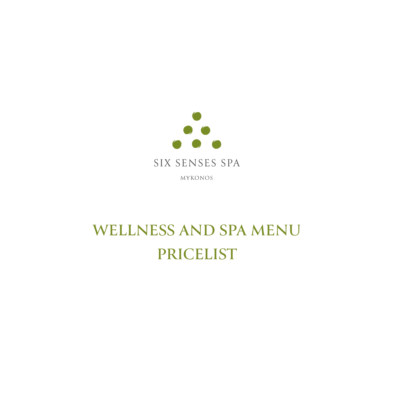

## **WELLNESS AND SPA MENU PRICELIST**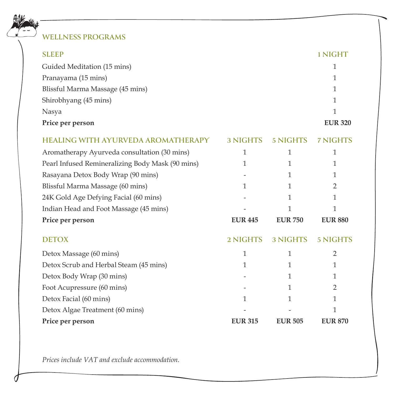

## **WELLNESS PROGRAMS**

| <b>SLEEP</b>                                     |                   |                 | 1 NIGHT         |
|--------------------------------------------------|-------------------|-----------------|-----------------|
| Guided Meditation (15 mins)                      |                   |                 | 1               |
| Pranayama (15 mins)                              |                   |                 | $\mathbf{1}$    |
| Blissful Marma Massage (45 mins)                 |                   |                 | $\mathbf{1}$    |
| Shirobhyang (45 mins)                            |                   |                 | $\mathbf{1}$    |
| Nasya                                            |                   |                 | $\mathbf{1}$    |
| Price per person                                 |                   |                 | <b>EUR 320</b>  |
| HEALING WITH AYURVEDA AROMATHERAPY               | <b>3 NIGHTS</b>   | <b>5 NIGHTS</b> | 7 NIGHTS        |
| Aromatherapy Ayurveda consultation (30 mins)     | 1                 | $\mathbf{1}$    | 1               |
| Pearl Infused Remineralizing Body Mask (90 mins) | $\mathbf{1}$      | 1               | $\mathbf{1}$    |
| Rasayana Detox Body Wrap (90 mins)               | $\qquad \qquad -$ | 1               | $\mathbf{1}$    |
| Blissful Marma Massage (60 mins)                 | 1                 | 1               | $\overline{2}$  |
| 24K Gold Age Defying Facial (60 mins)            |                   | 1               | $\mathbf{1}$    |
| Indian Head and Foot Massage (45 mins)           |                   | 1               | $\mathbf{1}$    |
| Price per person                                 | <b>EUR 445</b>    | <b>EUR 750</b>  | <b>EUR 880</b>  |
| <b>DETOX</b>                                     | 2 NIGHTS          | <b>3 NIGHTS</b> | <b>5 NIGHTS</b> |
| Detox Massage (60 mins)                          | $\mathbf{1}$      | $\mathbf{1}$    | $\overline{2}$  |
| Detox Scrub and Herbal Steam (45 mins)           | 1                 | 1               | $\mathbf{1}$    |
| Detox Body Wrap (30 mins)                        |                   | $\mathbf{1}$    | $\mathbf{1}$    |
| Foot Acupressure (60 mins)                       |                   | $\mathbf{1}$    | $\overline{2}$  |
| Detox Facial (60 mins)                           | 1                 | $\mathbf{1}$    | $\mathbf{1}$    |
| Detox Algae Treatment (60 mins)                  |                   |                 | $\mathbf{1}$    |
| Price per person                                 | <b>EUR 315</b>    | <b>EUR 505</b>  | <b>EUR 870</b>  |

*Prices include VAT and exclude accommodation.*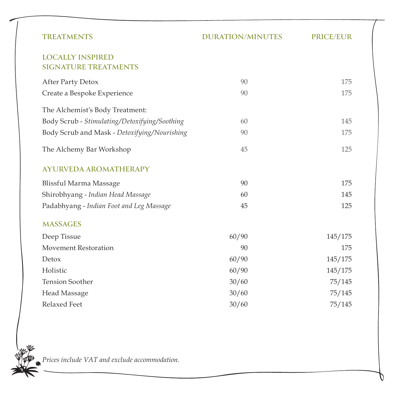| <b>TREATMENTS</b>                                      | <b>DURATION/MINUTES</b> | <b>PRICE/EUR</b> |  |
|--------------------------------------------------------|-------------------------|------------------|--|
| <b>LOCALLY INSPIRED</b><br><b>SIGNATURE TREATMENTS</b> |                         |                  |  |
| After Party Detox                                      | 90                      | 175              |  |
| Create a Bespoke Experience                            | 90                      | 175              |  |
| The Alchemist's Body Treatment:                        |                         |                  |  |
| Body Scrub - Stimulating/Detoxifying/Soothing          | 60                      | 145              |  |
| Body Scrub and Mask - Detoxifying/Nourishing           | 90                      | 175              |  |
| The Alchemy Bar Workshop                               | 45                      | 125              |  |
| AYURVEDA AROMATHERAPY                                  |                         |                  |  |
| Blissful Marma Massage                                 | 90                      | 175              |  |
| Shirobhyang - Indian Head Massage                      | 60                      | 145              |  |
| Padabhyang - Indian Foot and Leg Massage               | 45                      | 125              |  |
| <b>MASSAGES</b>                                        |                         |                  |  |
| Deep Tissue                                            | 60/90                   | 145/175          |  |
| Movement Restoration                                   | 90                      | 175              |  |
| Detox                                                  | 60/90                   | 145/175          |  |
| Holistic                                               | 60/90                   | 145/175          |  |
| <b>Tension Soother</b>                                 | 30/60                   | 75/145           |  |
| Head Massage                                           | 30/60                   | 75/145           |  |
| Relaxed Feet                                           | 30/60                   | 75/145           |  |



*Prices include VAT and exclude accommodation.*